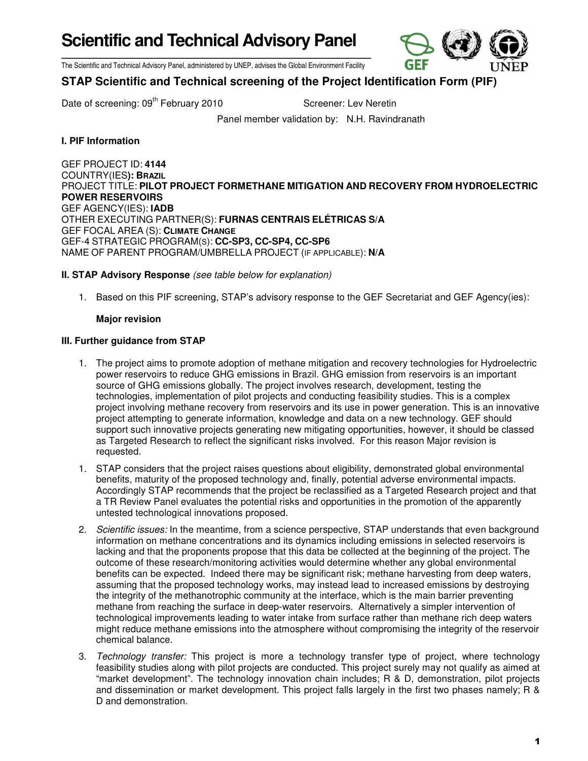**Scientific and Technical Advisory Panel** 



The Scientific and Technical Advisory Panel, administered by UNEP, advises the Global Environment Facility

# **STAP Scientific and Technical screening of the Project Identification Form (PIF)**

Date of screening: 09<sup>th</sup> February 2010 Screener: Lev Neretin

Panel member validation by: N.H. Ravindranath

# **I. PIF Information**

GEF PROJECT ID: **4144** COUNTRY(IES**): BRAZIL** PROJECT TITLE: **PILOT PROJECT FORMETHANE MITIGATION AND RECOVERY FROM HYDROELECTRIC POWER RESERVOIRS**  GEF AGENCY(IES): **IADB**  OTHER EXECUTING PARTNER(S): **FURNAS CENTRAIS ELÉTRICAS S/A**  GEF FOCAL AREA (S): **CLIMATE CHANGE** GEF-4 STRATEGIC PROGRAM(S): **CC-SP3, CC-SP4, CC-SP6** NAME OF PARENT PROGRAM/UMBRELLA PROJECT (IF APPLICABLE): **N/A**

## **II. STAP Advisory Response** (see table below for explanation)

1. Based on this PIF screening, STAP's advisory response to the GEF Secretariat and GEF Agency(ies):

### **Major revision**

### **III. Further guidance from STAP**

- 1. The project aims to promote adoption of methane mitigation and recovery technologies for Hydroelectric power reservoirs to reduce GHG emissions in Brazil. GHG emission from reservoirs is an important source of GHG emissions globally. The project involves research, development, testing the technologies, implementation of pilot projects and conducting feasibility studies. This is a complex project involving methane recovery from reservoirs and its use in power generation. This is an innovative project attempting to generate information, knowledge and data on a new technology. GEF should support such innovative projects generating new mitigating opportunities, however, it should be classed as Targeted Research to reflect the significant risks involved. For this reason Major revision is requested.
- 1. STAP considers that the project raises questions about eligibility, demonstrated global environmental benefits, maturity of the proposed technology and, finally, potential adverse environmental impacts. Accordingly STAP recommends that the project be reclassified as a Targeted Research project and that a TR Review Panel evaluates the potential risks and opportunities in the promotion of the apparently untested technological innovations proposed.
- 2. Scientific issues: In the meantime, from a science perspective, STAP understands that even background information on methane concentrations and its dynamics including emissions in selected reservoirs is lacking and that the proponents propose that this data be collected at the beginning of the project. The outcome of these research/monitoring activities would determine whether any global environmental benefits can be expected. Indeed there may be significant risk; methane harvesting from deep waters, assuming that the proposed technology works, may instead lead to increased emissions by destroying the integrity of the methanotrophic community at the interface, which is the main barrier preventing methane from reaching the surface in deep-water reservoirs. Alternatively a simpler intervention of technological improvements leading to water intake from surface rather than methane rich deep waters might reduce methane emissions into the atmosphere without compromising the integrity of the reservoir chemical balance.
- 3. Technology transfer: This project is more a technology transfer type of project, where technology feasibility studies along with pilot projects are conducted. This project surely may not qualify as aimed at "market development". The technology innovation chain includes; R & D, demonstration, pilot projects and dissemination or market development. This project falls largely in the first two phases namely; R & D and demonstration.